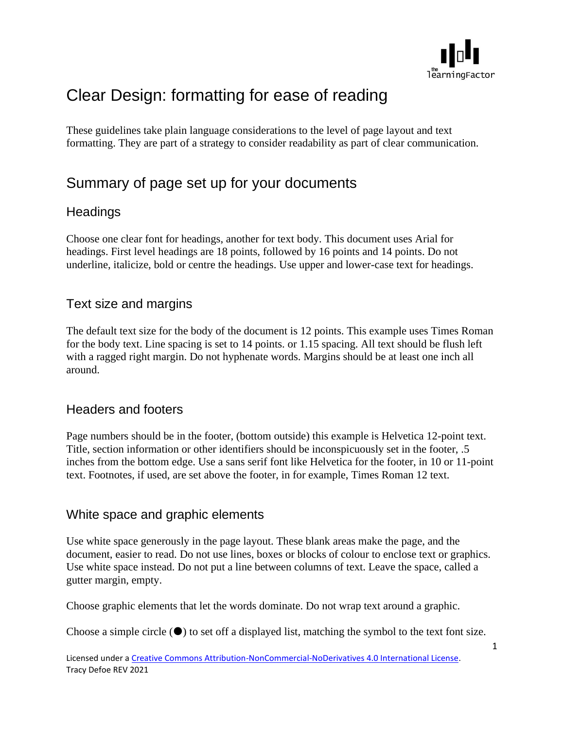

# Clear Design: formatting for ease of reading

These guidelines take plain language considerations to the level of page layout and text formatting. They are part of a strategy to consider readability as part of clear communication.

## Summary of page set up for your documents

## **Headings**

Choose one clear font for headings, another for text body. This document uses Arial for headings. First level headings are 18 points, followed by 16 points and 14 points. Do not underline, italicize, bold or centre the headings. Use upper and lower-case text for headings.

## Text size and margins

The default text size for the body of the document is 12 points. This example uses Times Roman for the body text. Line spacing is set to 14 points. or 1.15 spacing. All text should be flush left with a ragged right margin. Do not hyphenate words. Margins should be at least one inch all around.

## Headers and footers

Page numbers should be in the footer, (bottom outside) this example is Helvetica 12-point text. Title, section information or other identifiers should be inconspicuously set in the footer, .5 inches from the bottom edge. Use a sans serif font like Helvetica for the footer, in 10 or 11-point text. Footnotes, if used, are set above the footer, in for example, Times Roman 12 text.

#### White space and graphic elements

Use white space generously in the page layout. These blank areas make the page, and the document, easier to read. Do not use lines, boxes or blocks of colour to enclose text or graphics. Use white space instead. Do not put a line between columns of text. Leave the space, called a gutter margin, empty.

Choose graphic elements that let the words dominate. Do not wrap text around a graphic.

Choose a simple circle  $(\bullet)$  to set off a displayed list, matching the symbol to the text font size.